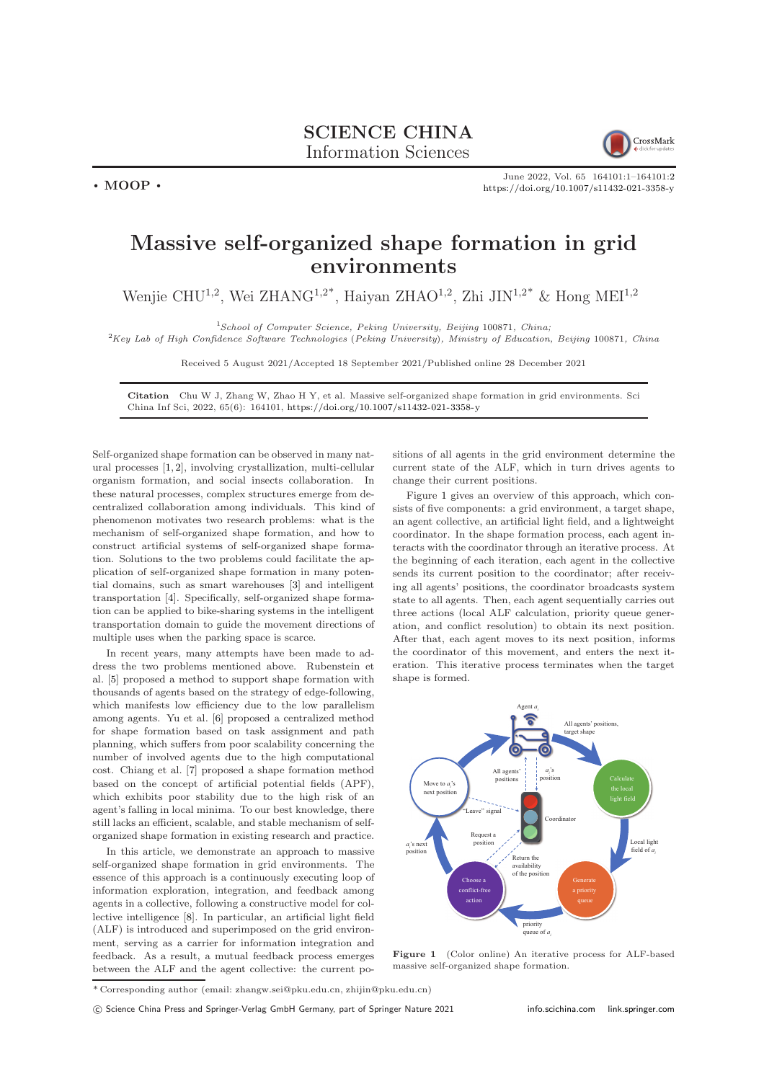

June 2022, Vol. 65 164101:1–164101[:2](#page-1-0) <https://doi.org/10.1007/s11432-021-3358-y>

## Massive self-organized shape formation in grid environments

Wenjie CHU<sup>1,2</sup>, Wei ZHANG<sup>1,2\*</sup>, Haiyan ZHAO<sup>1,2</sup>, Zhi JIN<sup>1,2\*</sup> & Hong MEI<sup>1,2</sup>

<sup>1</sup>School of Computer Science, Peking University, Beijing 100871, China;

 ${}^{2}$ Key Lab of High Confidence Software Technologies (Peking University), Ministry of Education, Beijing 100871, China

Received 5 August 2021/Accepted 18 September 2021/Published online 28 December 2021

Citation Chu W J, Zhang W, Zhao H Y, et al. Massive self-organized shape formation in grid environments. Sci China Inf Sci, 2022, 65(6): 164101, <https://doi.org/10.1007/s11432-021-3358-y>

Self-organized shape formation can be observed in many natural processes [\[1,](#page-1-1) [2\]](#page-1-2), involving crystallization, multi-cellular organism formation, and social insects collaboration. In these natural processes, complex structures emerge from decentralized collaboration among individuals. This kind of phenomenon motivates two research problems: what is the mechanism of self-organized shape formation, and how to construct artificial systems of self-organized shape formation. Solutions to the two problems could facilitate the application of self-organized shape formation in many potential domains, such as smart warehouses [\[3\]](#page-1-3) and intelligent transportation [\[4\]](#page-1-4). Specifically, self-organized shape formation can be applied to bike-sharing systems in the intelligent transportation domain to guide the movement directions of multiple uses when the parking space is scarce.

 $\cdot$  MOOP  $\cdot$ 

In recent years, many attempts have been made to address the two problems mentioned above. Rubenstein et al. [\[5\]](#page-1-5) proposed a method to support shape formation with thousands of agents based on the strategy of edge-following, which manifests low efficiency due to the low parallelism among agents. Yu et al. [\[6\]](#page-1-6) proposed a centralized method for shape formation based on task assignment and path planning, which suffers from poor scalability concerning the number of involved agents due to the high computational cost. Chiang et al. [\[7\]](#page-1-7) proposed a shape formation method based on the concept of artificial potential fields (APF), which exhibits poor stability due to the high risk of an agent's falling in local minima. To our best knowledge, there still lacks an efficient, scalable, and stable mechanism of selforganized shape formation in existing research and practice.

In this article, we demonstrate an approach to massive self-organized shape formation in grid environments. The essence of this approach is a continuously executing loop of information exploration, integration, and feedback among agents in a collective, following a constructive model for collective intelligence [\[8\]](#page-1-8). In particular, an artificial light field (ALF) is introduced and superimposed on the grid environment, serving as a carrier for information integration and feedback. As a result, a mutual feedback process emerges between the ALF and the agent collective: the current positions of all agents in the grid environment determine the current state of the ALF, which in turn drives agents to change their current positions.

Figure [1](#page-0-0) gives an overview of this approach, which consists of five components: a grid environment, a target shape, an agent collective, an artificial light field, and a lightweight coordinator. In the shape formation process, each agent interacts with the coordinator through an iterative process. At the beginning of each iteration, each agent in the collective sends its current position to the coordinator; after receiving all agents' positions, the coordinator broadcasts system state to all agents. Then, each agent sequentially carries out three actions (local ALF calculation, priority queue generation, and conflict resolution) to obtain its next position. After that, each agent moves to its next position, informs the coordinator of this movement, and enters the next iteration. This iterative process terminates when the target shape is formed.

<span id="page-0-0"></span>

Figure 1 (Color online) An iterative process for ALF-based massive self-organized shape formation.

<sup>\*</sup> Corresponding author (email: zhangw.sei@pku.edu.cn, zhijin@pku.edu.cn)